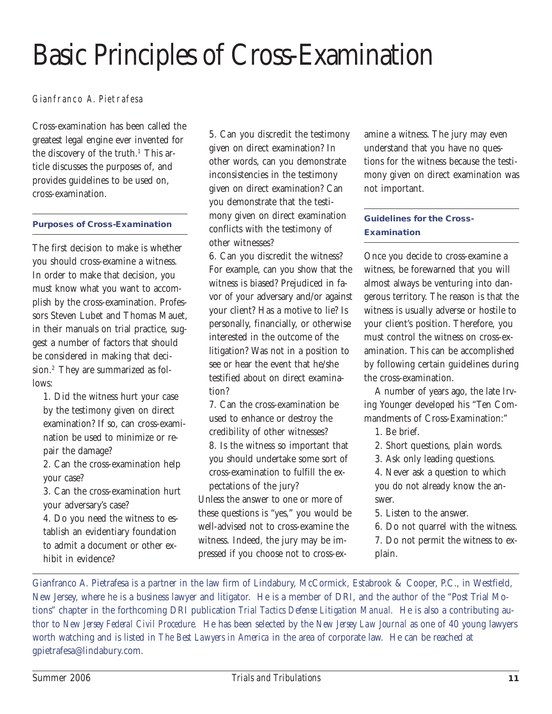## Basic Principles of Cross-Examination

Gianfranco A. Pietrafesa

Cross-examination has been called the greatest legal engine ever invented for the discovery of the truth.<sup>1</sup> This article discusses the purposes of, and provides guidelines to be used on, cross-examination.

## **Purposes of Cross-Examination**

The first decision to make is whether you should cross-examine a witness. In order to make that decision, you must know what you want to accomplish by the cross-examination. Professors Steven Lubet and Thomas Mauet, in their manuals on trial practice, suggest a number of factors that should be considered in making that decision.2 They are summarized as follows:

1. Did the witness hurt your case by the testimony given on direct examination? If so, can cross-examination be used to minimize or repair the damage?

2. Can the cross-examination help your case?

3. Can the cross-examination hurt your adversary's case?

4. Do you need the witness to establish an evidentiary foundation to admit a document or other exhibit in evidence?

5. Can you discredit the testimony given on direct examination? In other words, can you demonstrate inconsistencies in the testimony given on direct examination? Can you demonstrate that the testimony given on direct examination conflicts with the testimony of other witnesses?

6. Can you discredit the witness? For example, can you show that the witness is biased? Prejudiced in favor of your adversary and/or against your client? Has a motive to lie? Is personally, financially, or otherwise interested in the outcome of the litigation? Was not in a position to see or hear the event that he/she testified about on direct examination?

7. Can the cross-examination be used to enhance or destroy the credibility of other witnesses? 8. Is the witness so important that you should undertake some sort of

cross-examination to fulfill the expectations of the jury?

Unless the answer to one or more of these questions is "yes," you would be well-advised not to cross-examine the witness. Indeed, the jury may be impressed if you choose not to cross-examine a witness. The jury may even understand that you have no questions for the witness because the testimony given on direct examination was not important.

## **Guidelines for the Cross-Examination**

Once you decide to cross-examine a witness, be forewarned that you will almost always be venturing into dangerous territory. The reason is that the witness is usually adverse or hostile to your client's position. Therefore, you must control the witness on cross-examination. This can be accomplished by following certain guidelines during the cross-examination.

A number of years ago, the late Irving Younger developed his "Ten Commandments of Cross-Examination:"

1. Be brief.

2. Short questions, plain words.

3. Ask only leading questions.

4. Never ask a question to which you do not already know the answer.

5. Listen to the answer.

6. Do not quarrel with the witness.

7. Do not permit the witness to explain.

Gianfranco A. Pietrafesa is a partner in the law firm of Lindabury, McCormick, Estabrook & Cooper, P.C., in Westfield, New Jersey, where he is a business lawyer and litigator. He is a member of DRI, and the author of the "Post Trial Motions" chapter in the forthcoming DRI publication *Trial Tactics Defense Litigation Manual.* He is also a contributing author to *New Jersey Federal Civil Procedure.* He has been selected by the *New Jersey Law Journal* as one of 40 young lawyers worth watching and is listed in *The Best Lawyers in America* in the area of corporate law. He can be reached at [gpietrafesa@lindabury.com.](mailto:gpietrafesa@lindabury.com)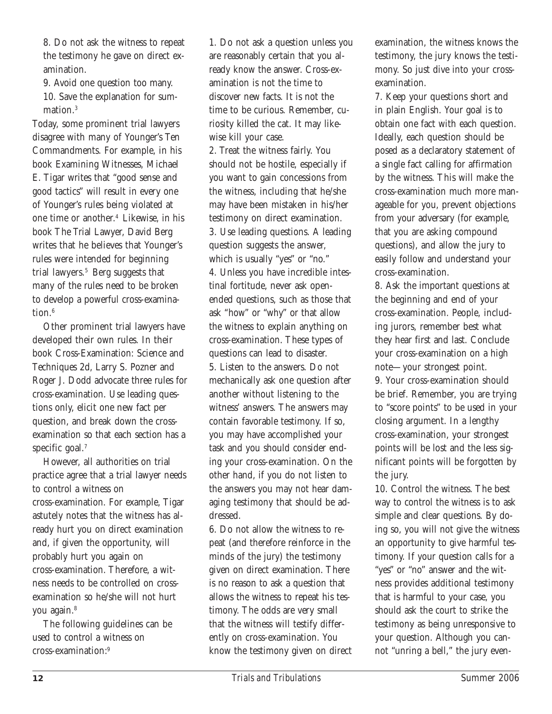8. Do not ask the witness to repeat the testimony he gave on direct examination.

9. Avoid one question too many. 10. Save the explanation for summation.3

Today, some prominent trial lawyers disagree with many of Younger's Ten Commandments. For example, in his book Examining Witnesses, Michael E. Tigar writes that "good sense and good tactics" will result in every one of Younger's rules being violated at one time or another.4 Likewise, in his book The Trial Lawyer, David Berg writes that he believes that Younger's rules were intended for beginning trial lawyers.<sup>5</sup> Berg suggests that many of the rules need to be broken to develop a powerful cross-examination.<sup>6</sup>

Other prominent trial lawyers have developed their own rules. In their book Cross-Examination: Science and Techniques 2d, Larry S. Pozner and Roger J. Dodd advocate three rules for cross-examination. Use leading questions only, elicit one new fact per question, and break down the crossexamination so that each section has a specific goal. $<sup>7</sup>$ </sup>

However, all authorities on trial practice agree that a trial lawyer needs to control a witness on cross-examination. For example, Tigar astutely notes that the witness has already hurt you on direct examination and, if given the opportunity, will probably hurt you again on cross-examination. Therefore, a witness needs to be controlled on crossexamination so he/she will not hurt you again.<sup>8</sup>

The following guidelines can be used to control a witness on cross-examination:9

1. Do not ask a question unless you are reasonably certain that you already know the answer. Cross-examination is not the time to discover new facts. It is not the time to be curious. Remember, curiosity killed the cat. It may likewise kill your case.

2. Treat the witness fairly. You should not be hostile, especially if you want to gain concessions from the witness, including that he/she may have been mistaken in his/her testimony on direct examination. 3. Use leading questions. A leading question suggests the answer, which is usually "yes" or "no." 4. Unless you have incredible intestinal fortitude, never ask openended questions, such as those that ask "how" or "why" or that allow the witness to explain anything on cross-examination. These types of questions can lead to disaster. 5. Listen to the answers. Do not mechanically ask one question after another without listening to the witness' answers. The answers may contain favorable testimony. If so, you may have accomplished your task and you should consider ending your cross-examination. On the other hand, if you do not listen to the answers you may not hear damaging testimony that should be addressed.

6. Do not allow the witness to repeat (and therefore reinforce in the minds of the jury) the testimony given on direct examination. There is no reason to ask a question that allows the witness to repeat his testimony. The odds are very small that the witness will testify differently on cross-examination. You know the testimony given on direct examination, the witness knows the testimony, the jury knows the testimony. So just dive into your crossexamination.

7. Keep your questions short and in plain English. Your goal is to obtain one fact with each question. Ideally, each question should be posed as a declaratory statement of a single fact calling for affirmation by the witness. This will make the cross-examination much more manageable for you, prevent objections from your adversary (for example, that you are asking compound questions), and allow the jury to easily follow and understand your cross-examination.

8. Ask the important questions at the beginning and end of your cross-examination. People, including jurors, remember best what they hear first and last. Conclude your cross-examination on a high note—your strongest point. 9. Your cross-examination should be brief. Remember, you are trying to "score points" to be used in your closing argument. In a lengthy cross-examination, your strongest points will be lost and the less significant points will be forgotten by the jury.

10. Control the witness. The best way to control the witness is to ask simple and clear questions. By doing so, you will not give the witness an opportunity to give harmful testimony. If your question calls for a "yes" or "no" answer and the witness provides additional testimony that is harmful to your case, you should ask the court to strike the testimony as being unresponsive to your question. Although you cannot "unring a bell," the jury even-